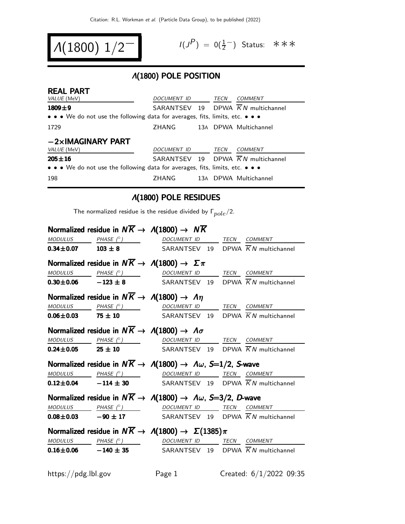$$
A(1800) 1/2^-
$$

$$
I(J^P) = 0(\frac{1}{2}^-) \quad \text{Status:} \quad \text{*} \quad \text{*} \quad \text{*}
$$

### Λ(1800) POLE POSITION

| <b>REAL PART</b>                                                              |                                                |  |      |                                                |  |  |
|-------------------------------------------------------------------------------|------------------------------------------------|--|------|------------------------------------------------|--|--|
| VALUE (MeV)                                                                   | <b>DOCUMENT ID</b>                             |  | TECN | COMMENT                                        |  |  |
| $1809 + 9$                                                                    | SARANTSEV 19 DPWA $\overline{K}N$ multichannel |  |      |                                                |  |  |
| • • • We do not use the following data for averages, fits, limits, etc. • • • |                                                |  |      |                                                |  |  |
| 1729                                                                          | ZHANG                                          |  |      | 13A DPWA Multichannel                          |  |  |
| $-2\times$ IMAGINARY PART<br>VALUE (MeV)                                      | DOCUMENT ID                                    |  | TECN | COMMENT                                        |  |  |
| $205 + 16$                                                                    |                                                |  |      | SARANTSEV 19 DPWA $\overline{K}N$ multichannel |  |  |
| • • • We do not use the following data for averages, fits, limits, etc. • • • |                                                |  |      |                                                |  |  |
| 198                                                                           | <b>ZHANG</b>                                   |  |      | 13A DPWA Multichannel                          |  |  |

# Λ(1800) POLE RESIDUES

The normalized residue is the residue divided by  $\Gamma_{pole}/2$ .

|  | Normalized residue in $N\overline{K} \rightarrow A(1800) \rightarrow N\overline{K}$                                                                                              |  |
|--|----------------------------------------------------------------------------------------------------------------------------------------------------------------------------------|--|
|  | $\begin{array}{ccccccccc} \textit{MODULUS} & \textit{PHASE}& \texttt{?)} & \textit{DOCUMENT} & \textit{ID} & \textit{TECN} & \textit{COMMENT} & \textit{?} \end{array}$          |  |
|  | <b>0.34±0.07</b> 103 ± 8 SARANTSEV 19 DPWA $\overline{K}N$ multichannel                                                                                                          |  |
|  | Normalized residue in $N\overline{K} \rightarrow \Lambda(1800) \rightarrow \Sigma \pi$                                                                                           |  |
|  | MODULUS PHASE (° ) DOCUMENT ID TECN COMMENT                                                                                                                                      |  |
|  | <b>0.30±0.06</b> -123 ± 8 SARANTSEV 19 DPWA $\overline{K}N$ multichannel                                                                                                         |  |
|  | Normalized residue in $N\overline{K} \rightarrow A(1800) \rightarrow A\eta$                                                                                                      |  |
|  | $MODULUS \t PHASE (°) \t DOCUMENT ID \t TECN \t COMMENT$                                                                                                                         |  |
|  | <b>0.06±0.03</b> 75 ± 10 SARANTSEV 19 DPWA $\overline{K}N$ multichannel                                                                                                          |  |
|  | Normalized residue in $N\overline{K} \rightarrow \Lambda(1800) \rightarrow \Lambda \sigma$                                                                                       |  |
|  | MODULUS PHASE (°) DOCUMENT ID TECN COMMENT                                                                                                                                       |  |
|  | <b>0.24±0.05</b> 25 ± 10 SARANTSEV 19 DPWA $\overline{K}N$ multichannel                                                                                                          |  |
|  | Normalized residue in $N\overline{K} \to \Lambda(1800) \to \Lambda \omega$ , S=1/2, S-wave                                                                                       |  |
|  | $\begin{array}{ccccccccc}\textit{MODULUS} & & & \textit{PHASE}& \textit{?}) & & & \textit{DOCUMENT} & \textit{ID} & & \textit{TECN} & \textit{COMMENT} & \textit{?} \end{array}$ |  |
|  | <b>0.12±0.04</b> - 114 ± 30 SARANTSEV 19 DPWA $\overline{K}N$ multichannel                                                                                                       |  |
|  | Normalized residue in $N\overline{K} \to \Lambda(1800) \to \Lambda \omega$ , S=3/2, D-wave                                                                                       |  |
|  | $\begin{array}{ccccccccc}\textit{MODULUS} & \textit{PHASE}& \texttt{?}) & \textit{DOCUMENT} & \textit{ID} & \textit{TECN} & \textit{COMMENT} \end{array}$                        |  |
|  | <b>0.08±0.03</b> -90 ± 17 SARANTSEV 19 DPWA $\overline{K}N$ multichannel                                                                                                         |  |
|  | Normalized residue in $N\overline{K} \to \Lambda(1800) \to \Sigma(1385)\pi$                                                                                                      |  |
|  | MODULUS PHASE (° ) DOCUMENT ID TECN COMMENT                                                                                                                                      |  |
|  | <b>0.16±0.06</b> -140 ± 35 SARANTSEV 19 DPWA $\overline{K}N$ multichannel                                                                                                        |  |
|  |                                                                                                                                                                                  |  |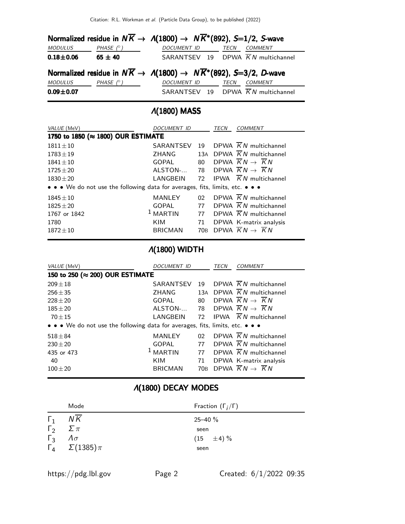|                |                  | Normalized residue in $N\overline{K} \to A(1800) \to N\overline{K}^*(892)$ , S=1/2, S-wave       |                                                |
|----------------|------------------|--------------------------------------------------------------------------------------------------|------------------------------------------------|
| <i>MODULUS</i> | PHASE $(^\circ)$ | <b>DOCUMENT ID</b>                                                                               | TECN<br><b>COMMENT</b>                         |
| $0.18 + 0.06$  | 65 $\pm$ 40      |                                                                                                  | SARANTSEV 19 DPWA $\overline{K}N$ multichannel |
|                |                  | Normalized residue in $N\overline{K} \to \Lambda(1800) \to N\overline{K}^*(892)$ , S=3/2, D-wave |                                                |
| MODULUS        | PHASE $(^\circ)$ | <b>DOCUMENT ID</b>                                                                               | COMMENT<br>TECN                                |
| $0.09 + 0.07$  |                  |                                                                                                  | SARANTSEV 19 DPWA $\overline{K}N$ multichannel |

# Λ(1800) MASS

| VALUE (MeV)                                                                   | DOCUMENT ID<br>TECN |                 | <b>COMMENT</b>                                 |
|-------------------------------------------------------------------------------|---------------------|-----------------|------------------------------------------------|
| 1750 to 1850 (≈ 1800) OUR ESTIMATE                                            |                     |                 |                                                |
| $1811 \pm 10$                                                                 | SARANTSEV           | 19              | DPWA $\overline{K}N$ multichannel              |
| $1783 + 19$                                                                   | ZHANG               |                 | 13A DPWA $\overline{K}N$ multichannel          |
| $1841 \pm 10$                                                                 | <b>GOPAL</b>        | 80              | DPWA $\overline{K}N \rightarrow KN$            |
| $1725 \pm 20$                                                                 | ALSTON-             | 78              | DPWA $\overline{K}N \rightarrow \overline{K}N$ |
| $1830 \pm 20$                                                                 | LANGBEIN            | 72              | <b>IPWA</b> $\overline{K}N$ multichannel       |
| • • • We do not use the following data for averages, fits, limits, etc. • • • |                     |                 |                                                |
| $1845 \pm 10$                                                                 | MANLEY              | 02              | DPWA $\overline{K}N$ multichannel              |
| $1825 \pm 20$                                                                 | <b>GOPAL</b>        | 77              | DPWA $\overline{K}N$ multichannel              |
| 1767 or 1842                                                                  | $1$ MARTIN          | 77              | DPWA $\overline{K}N$ multichannel              |
| 1780                                                                          | KIM                 | 71              | DPWA K-matrix analysis                         |
| $1872 + 10$                                                                   | <b>BRICMAN</b>      | 70 <sub>B</sub> | DPWA $\overline{K}N \rightarrow \overline{K}N$ |

# Λ(1800) WIDTH

| VALUE (MeV)                                                                   | <i>DOCUMENT ID</i> | TECN            |  | COMMENT                                        |
|-------------------------------------------------------------------------------|--------------------|-----------------|--|------------------------------------------------|
| 150 to 250 (≈ 200) OUR ESTIMATE                                               |                    |                 |  |                                                |
| $209 \pm 18$                                                                  | SARANTSEV          | 19              |  | DPWA $\overline{K}N$ multichannel              |
| $256 \pm 35$                                                                  | ZHANG              | 13A             |  | DPWA $\overline{K}N$ multichannel              |
| $228 + 20$                                                                    | <b>GOPAL</b>       | 80              |  | DPWA $\overline{K}N \rightarrow \overline{K}N$ |
| $185 + 20$                                                                    | ALSTON-            | 78              |  | DPWA $\overline{K}N \rightarrow \overline{K}N$ |
| $70 \pm 15$                                                                   | LANGBEIN           | 72              |  | <b>IPWA</b> $\overline{K}N$ multichannel       |
| • • • We do not use the following data for averages, fits, limits, etc. • • • |                    |                 |  |                                                |
| $518 + 84$                                                                    | MANLEY             | 02 <sub>1</sub> |  | DPWA $\overline{K}N$ multichannel              |
| $230 \pm 20$                                                                  | <b>GOPAL</b>       | 77              |  | DPWA $\overline{K}N$ multichannel              |
| 435 or 473                                                                    | $1$ MARTIN         | 77              |  | DPWA $\overline{K}N$ multichannel              |
| 40                                                                            | <b>KIM</b>         | 71              |  | DPWA K-matrix analysis                         |
| $100 + 20$                                                                    | <b>BRICMAN</b>     | 70 <sub>B</sub> |  | DPWA $\overline{K}N \rightarrow \overline{K}N$ |

# Λ(1800) DECAY MODES

|                             | Mode                             | Fraction $(\Gamma_i/\Gamma)$ |
|-----------------------------|----------------------------------|------------------------------|
| $\Gamma_1$                  | NK                               | $25 - 40 \%$                 |
| $\Gamma_2 \quad \Sigma \pi$ |                                  | seen                         |
| $\Gamma_3$                  | $\Lambda \sigma$                 | $(15 \pm 4)\%$               |
|                             | $\Gamma_4 \quad \Sigma(1385)\pi$ | seen                         |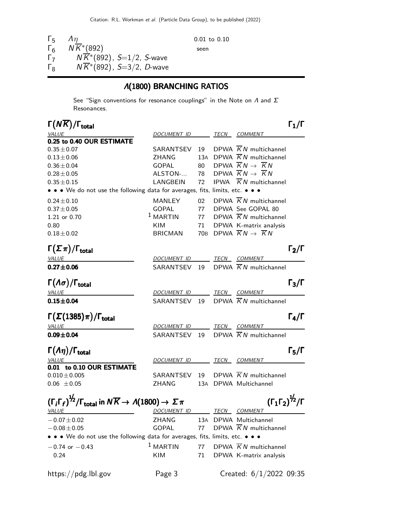| Гҕ         | $\Lambda$ n                           | $0.01$ to $0.10$ |
|------------|---------------------------------------|------------------|
| $\Gamma_6$ | $N\overline{K}$ <sup>*</sup> (892)    | seen             |
| Г7         | $N\overline{K}$ *(892), S=1/2, S-wave |                  |
| Гg         | $NK*(892)$ , $S=3/2$ , D-wave         |                  |

### Λ(1800) BRANCHING RATIOS

See "Sign conventions for resonance couplings" in the Note on  $\Lambda$  and  $\Sigma$ Resonances.

| $\Gamma(N\overline{K})/\Gamma_{\rm total}$                                                                                 |                          |    |                                                    | $\Gamma_1/\Gamma$ |
|----------------------------------------------------------------------------------------------------------------------------|--------------------------|----|----------------------------------------------------|-------------------|
| <i>VALUE</i>                                                                                                               | DOCUMENT ID TECN COMMENT |    |                                                    |                   |
| 0.25 to 0.40 OUR ESTIMATE                                                                                                  |                          |    |                                                    |                   |
| $0.35 \pm 0.07$                                                                                                            | SARANTSEV                | 19 | DPWA $\overline{K}N$ multichannel                  |                   |
| $0.13 \pm 0.06$                                                                                                            | ZHANG                    |    | 13A DPWA $\overline{K}N$ multichannel              |                   |
| $0.36 \pm 0.04$                                                                                                            | GOPAL                    |    | 80 DPWA $\overline{K}N \rightarrow \overline{K}N$  |                   |
| $0.28 \pm 0.05$                                                                                                            | ALSTON-                  |    | 78 DPWA $\overline{K}N \rightarrow \overline{K}N$  |                   |
| $0.35 \pm 0.15$                                                                                                            | LANGBEIN                 | 72 | IPWA $\overline{K}N$ multichannel                  |                   |
| • • • We do not use the following data for averages, fits, limits, etc. • • •                                              |                          |    |                                                    |                   |
| $0.24 \pm 0.10$                                                                                                            | MANLEY                   | 02 | DPWA $\overline{K}N$ multichannel                  |                   |
| $0.37 \pm 0.05$                                                                                                            | <b>GOPAL</b>             |    | 77 DPWA See GOPAL 80                               |                   |
| 1.21 or 0.70                                                                                                               | $1$ MARTIN               |    | 77 DPWA $\overline{K}N$ multichannel               |                   |
| 0.80                                                                                                                       | <b>KIM</b>               | 71 | DPWA K-matrix analysis                             |                   |
| $0.18 \pm 0.02$                                                                                                            | BRICMAN                  |    | 70B DPWA $\overline{K}N \rightarrow \overline{K}N$ |                   |
| $\Gamma(\Sigma \pi)/\Gamma_{\rm total}$                                                                                    |                          |    |                                                    | $\Gamma_2/\Gamma$ |
| VALUE                                                                                                                      | DOCUMENT ID TECN COMMENT |    |                                                    |                   |
| $0.27 \pm 0.06$                                                                                                            | SARANTSEV 19             |    | DPWA $\overline{K}N$ multichannel                  |                   |
| $\Gamma(\Lambda\sigma)/\Gamma_{\rm total}$                                                                                 |                          |    |                                                    | $\Gamma_3/\Gamma$ |
| <b>VALUE</b>                                                                                                               | DOCUMENT ID TECN COMMENT |    |                                                    |                   |
| $0.15 + 0.04$                                                                                                              | SARANTSEV 19             |    | DPWA $\overline{K}N$ multichannel                  |                   |
|                                                                                                                            |                          |    |                                                    |                   |
| $\Gamma(\Sigma(1385)\pi)/\Gamma_{\rm total}$                                                                               |                          |    |                                                    | $\Gamma_4/\Gamma$ |
| VALUE                                                                                                                      | DOCUMENT ID              |    | <u>TECN COMMENT</u>                                |                   |
| $0.09 \pm 0.04$                                                                                                            | SARANTSEV 19             |    | DPWA $\overline{K}N$ multichannel                  |                   |
| $\Gamma(\Lambda \eta)/\Gamma_{\rm total}$                                                                                  |                          |    |                                                    | $\Gamma_5/\Gamma$ |
| <i>VALUE</i>                                                                                                               | DOCUMENT ID TECN COMMENT |    |                                                    |                   |
| 0.01 to 0.10 OUR ESTIMATE                                                                                                  |                          |    |                                                    |                   |
| $0.010 \pm 0.005$                                                                                                          | SARANTSEV                | 19 | DPWA $\overline{K}N$ multichannel                  |                   |
| $0.06 \pm 0.05$                                                                                                            | <b>ZHANG</b>             |    | 13A DPWA Multichannel                              |                   |
| $(\Gamma_i \Gamma_f)^{\frac{1}{2}} / \Gamma_{\text{total}}$ in $N \overline{K} \rightarrow A(1800) \rightarrow \Sigma \pi$ |                          |    | $({\Gamma_1 \Gamma_2})^{\frac{1}{2}} / {\Gamma}$   |                   |
| <b>VALUE</b>                                                                                                               | DOCUMENT ID              |    | TECN COMMENT                                       |                   |
| $-0.07 \pm 0.02$                                                                                                           | ZHANG                    |    | 13A DPWA Multichannel                              |                   |
| $-0.08 \pm 0.05$                                                                                                           | <b>GOPAL</b>             | 77 | DPWA $\overline{K}N$ multichannel                  |                   |
| • • • We do not use the following data for averages, fits, limits, etc. • • •                                              |                          |    |                                                    |                   |
| $-0.74$ or $-0.43$                                                                                                         | $1$ MARTIN               | 77 | DPWA $\overline{K}N$ multichannel                  |                   |
| 0.24                                                                                                                       | KIM                      | 71 | DPWA K-matrix analysis                             |                   |
| $\frac{h}{\text{https://pdg.lbl.gov}}$                                                                                     | Page 3                   |    | Created: $6/1/2022$ 09:35                          |                   |